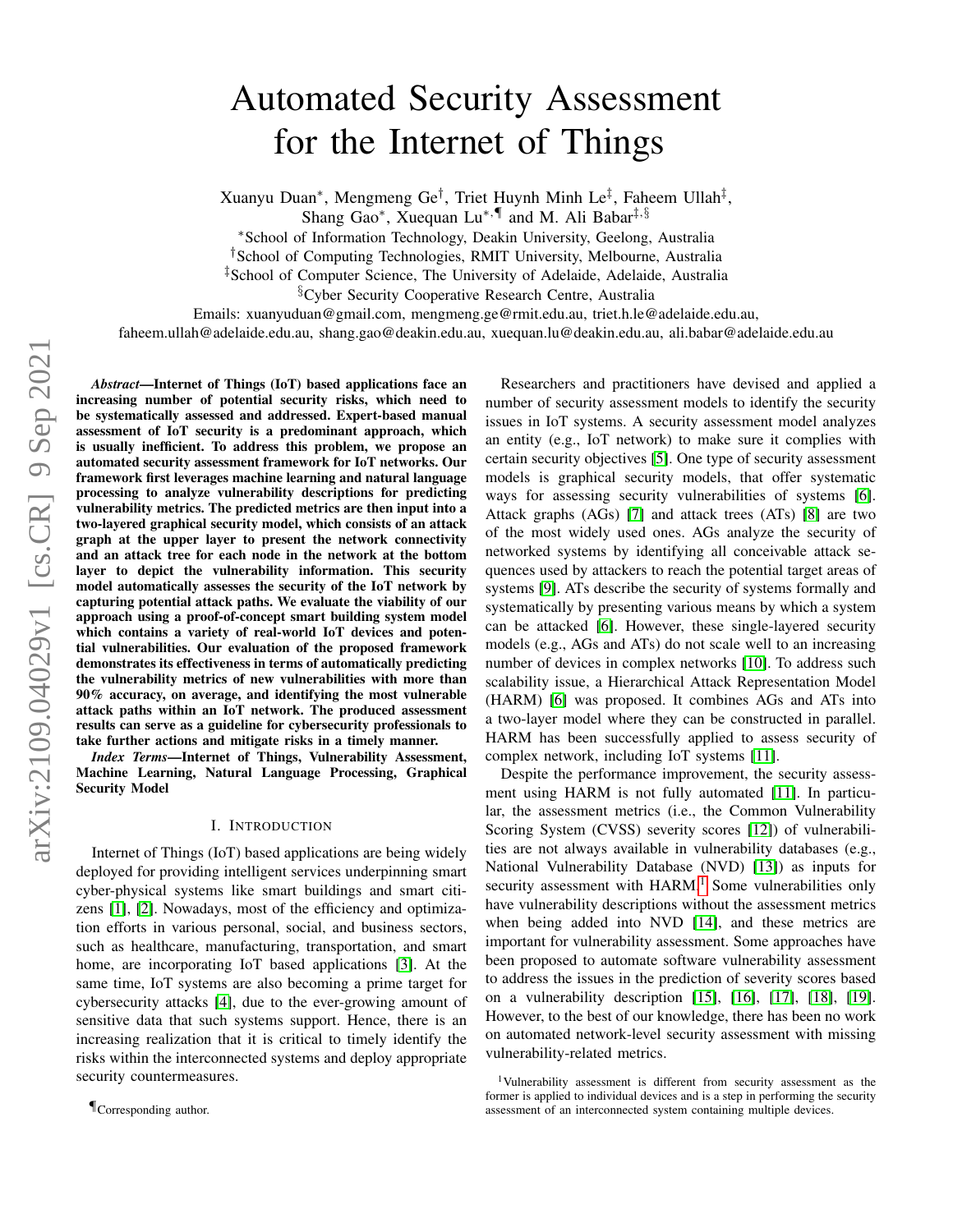# Automated Security Assessment for the Internet of Things

Xuanyu Duan\*, Mengmeng Ge<sup>†</sup>, Triet Huynh Minh Le<sup>‡</sup>, Faheem Ullah<sup>‡</sup>,

Shang Gao<sup>∗</sup>, Xuequan Lu<sup>∗,¶</sup> and M. Ali Babar<sup>‡,§</sup>

<sup>∗</sup>School of Information Technology, Deakin University, Geelong, Australia

†School of Computing Technologies, RMIT University, Melbourne, Australia

‡School of Computer Science, The University of Adelaide, Adelaide, Australia

§Cyber Security Cooperative Research Centre, Australia

Emails: xuanyuduan@gmail.com, mengmeng.ge@rmit.edu.au, triet.h.le@adelaide.edu.au,

faheem.ullah@adelaide.edu.au, shang.gao@deakin.edu.au, xuequan.lu@deakin.edu.au, ali.babar@adelaide.edu.au

*Abstract*—Internet of Things (IoT) based applications face an increasing number of potential security risks, which need to be systematically assessed and addressed. Expert-based manual assessment of IoT security is a predominant approach, which is usually inefficient. To address this problem, we propose an automated security assessment framework for IoT networks. Our framework first leverages machine learning and natural language processing to analyze vulnerability descriptions for predicting vulnerability metrics. The predicted metrics are then input into a two-layered graphical security model, which consists of an attack graph at the upper layer to present the network connectivity and an attack tree for each node in the network at the bottom layer to depict the vulnerability information. This security model automatically assesses the security of the IoT network by capturing potential attack paths. We evaluate the viability of our approach using a proof-of-concept smart building system model which contains a variety of real-world IoT devices and potential vulnerabilities. Our evaluation of the proposed framework demonstrates its effectiveness in terms of automatically predicting the vulnerability metrics of new vulnerabilities with more than 90% accuracy, on average, and identifying the most vulnerable attack paths within an IoT network. The produced assessment results can serve as a guideline for cybersecurity professionals to take further actions and mitigate risks in a timely manner.

*Index Terms*—Internet of Things, Vulnerability Assessment, Machine Learning, Natural Language Processing, Graphical Security Model

## I. INTRODUCTION

Internet of Things (IoT) based applications are being widely deployed for providing intelligent services underpinning smart cyber-physical systems like smart buildings and smart citizens [\[1\]](#page-8-0), [\[2\]](#page-8-1). Nowadays, most of the efficiency and optimization efforts in various personal, social, and business sectors, such as healthcare, manufacturing, transportation, and smart home, are incorporating IoT based applications [\[3\]](#page-9-0). At the same time, IoT systems are also becoming a prime target for cybersecurity attacks [\[4\]](#page-9-1), due to the ever-growing amount of sensitive data that such systems support. Hence, there is an increasing realization that it is critical to timely identify the risks within the interconnected systems and deploy appropriate security countermeasures.

¶Corresponding author.

Researchers and practitioners have devised and applied a number of security assessment models to identify the security issues in IoT systems. A security assessment model analyzes an entity (e.g., IoT network) to make sure it complies with certain security objectives [\[5\]](#page-9-2). One type of security assessment models is graphical security models, that offer systematic ways for assessing security vulnerabilities of systems [\[6\]](#page-9-3). Attack graphs (AGs) [\[7\]](#page-9-4) and attack trees (ATs) [\[8\]](#page-9-5) are two of the most widely used ones. AGs analyze the security of networked systems by identifying all conceivable attack sequences used by attackers to reach the potential target areas of systems [\[9\]](#page-9-6). ATs describe the security of systems formally and systematically by presenting various means by which a system can be attacked [\[6\]](#page-9-3). However, these single-layered security models (e.g., AGs and ATs) do not scale well to an increasing number of devices in complex networks [\[10\]](#page-9-7). To address such scalability issue, a Hierarchical Attack Representation Model (HARM) [\[6\]](#page-9-3) was proposed. It combines AGs and ATs into a two-layer model where they can be constructed in parallel. HARM has been successfully applied to assess security of complex network, including IoT systems [\[11\]](#page-9-8).

Despite the performance improvement, the security assessment using HARM is not fully automated [\[11\]](#page-9-8). In particular, the assessment metrics (i.e., the Common Vulnerability Scoring System (CVSS) severity scores [\[12\]](#page-9-9)) of vulnerabilities are not always available in vulnerability databases (e.g., National Vulnerability Database (NVD) [\[13\]](#page-9-10)) as inputs for security assessment with  $HARM.1$  $HARM.1$  Some vulnerabilities only have vulnerability descriptions without the assessment metrics when being added into NVD [\[14\]](#page-9-11), and these metrics are important for vulnerability assessment. Some approaches have been proposed to automate software vulnerability assessment to address the issues in the prediction of severity scores based on a vulnerability description [\[15\]](#page-9-12), [\[16\]](#page-9-13), [\[17\]](#page-9-14), [\[18\]](#page-9-15), [\[19\]](#page-9-16). However, to the best of our knowledge, there has been no work on automated network-level security assessment with missing vulnerability-related metrics.

<span id="page-0-0"></span><sup>&</sup>lt;sup>1</sup>Vulnerability assessment is different from security assessment as the former is applied to individual devices and is a step in performing the security assessment of an interconnected system containing multiple devices.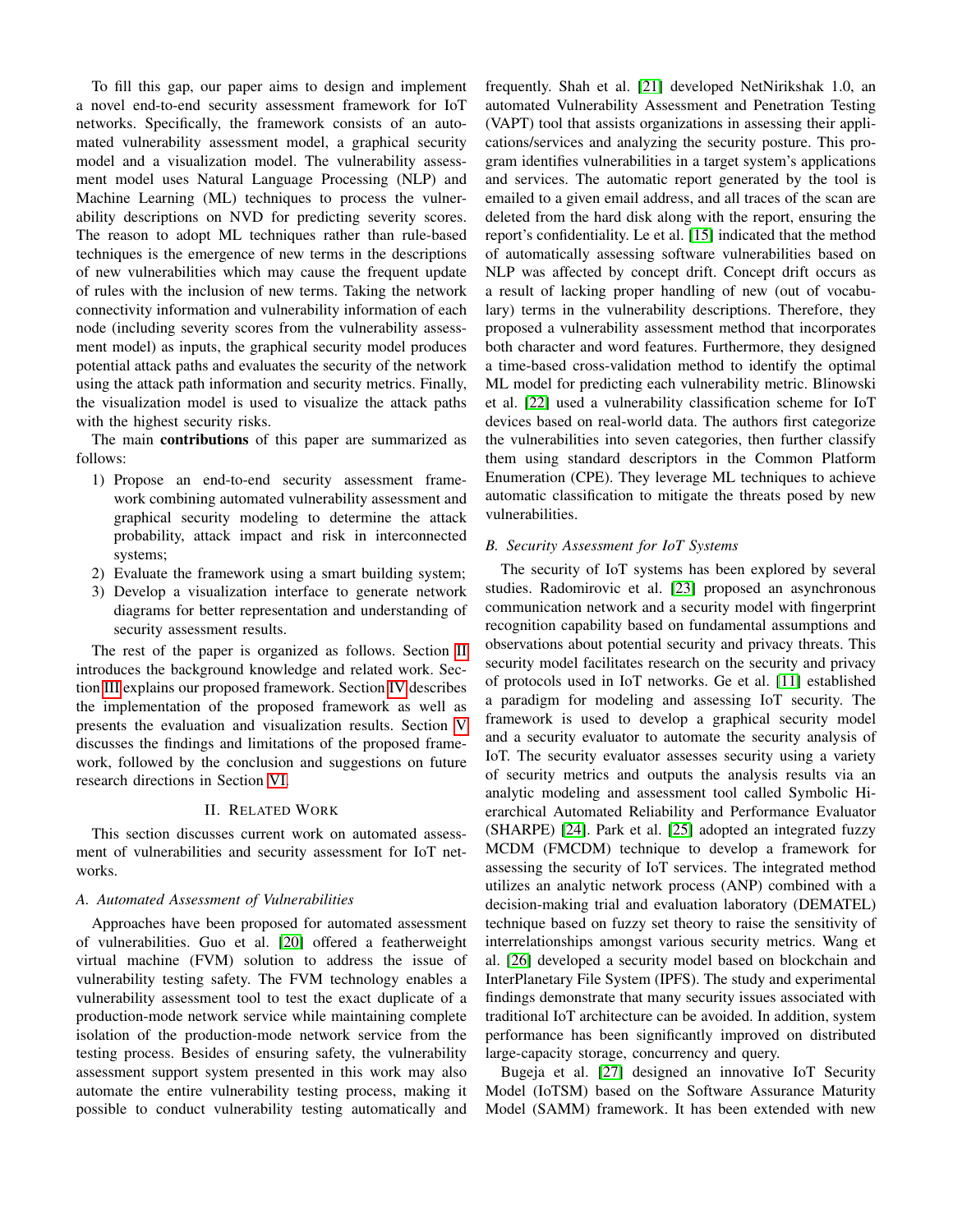To fill this gap, our paper aims to design and implement a novel end-to-end security assessment framework for IoT networks. Specifically, the framework consists of an automated vulnerability assessment model, a graphical security model and a visualization model. The vulnerability assessment model uses Natural Language Processing (NLP) and Machine Learning (ML) techniques to process the vulnerability descriptions on NVD for predicting severity scores. The reason to adopt ML techniques rather than rule-based techniques is the emergence of new terms in the descriptions of new vulnerabilities which may cause the frequent update of rules with the inclusion of new terms. Taking the network connectivity information and vulnerability information of each node (including severity scores from the vulnerability assessment model) as inputs, the graphical security model produces potential attack paths and evaluates the security of the network using the attack path information and security metrics. Finally, the visualization model is used to visualize the attack paths with the highest security risks.

The main contributions of this paper are summarized as follows:

- 1) Propose an end-to-end security assessment framework combining automated vulnerability assessment and graphical security modeling to determine the attack probability, attack impact and risk in interconnected systems;
- 2) Evaluate the framework using a smart building system;
- 3) Develop a visualization interface to generate network diagrams for better representation and understanding of security assessment results.

The rest of the paper is organized as follows. Section [II](#page-1-0) introduces the background knowledge and related work. Section [III](#page-2-0) explains our proposed framework. Section [IV](#page-3-0) describes the implementation of the proposed framework as well as presents the evaluation and visualization results. Section [V](#page-8-2) discusses the findings and limitations of the proposed framework, followed by the conclusion and suggestions on future research directions in Section [VI.](#page-8-3)

# II. RELATED WORK

<span id="page-1-0"></span>This section discusses current work on automated assessment of vulnerabilities and security assessment for IoT networks.

# *A. Automated Assessment of Vulnerabilities*

Approaches have been proposed for automated assessment of vulnerabilities. Guo et al. [\[20\]](#page-9-17) offered a featherweight virtual machine (FVM) solution to address the issue of vulnerability testing safety. The FVM technology enables a vulnerability assessment tool to test the exact duplicate of a production-mode network service while maintaining complete isolation of the production-mode network service from the testing process. Besides of ensuring safety, the vulnerability assessment support system presented in this work may also automate the entire vulnerability testing process, making it possible to conduct vulnerability testing automatically and frequently. Shah et al. [\[21\]](#page-9-18) developed NetNirikshak 1.0, an automated Vulnerability Assessment and Penetration Testing (VAPT) tool that assists organizations in assessing their applications/services and analyzing the security posture. This program identifies vulnerabilities in a target system's applications and services. The automatic report generated by the tool is emailed to a given email address, and all traces of the scan are deleted from the hard disk along with the report, ensuring the report's confidentiality. Le et al. [\[15\]](#page-9-12) indicated that the method of automatically assessing software vulnerabilities based on NLP was affected by concept drift. Concept drift occurs as a result of lacking proper handling of new (out of vocabulary) terms in the vulnerability descriptions. Therefore, they proposed a vulnerability assessment method that incorporates both character and word features. Furthermore, they designed a time-based cross-validation method to identify the optimal ML model for predicting each vulnerability metric. Blinowski et al. [\[22\]](#page-9-19) used a vulnerability classification scheme for IoT devices based on real-world data. The authors first categorize the vulnerabilities into seven categories, then further classify them using standard descriptors in the Common Platform Enumeration (CPE). They leverage ML techniques to achieve automatic classification to mitigate the threats posed by new vulnerabilities.

# *B. Security Assessment for IoT Systems*

The security of IoT systems has been explored by several studies. Radomirovic et al. [\[23\]](#page-9-20) proposed an asynchronous communication network and a security model with fingerprint recognition capability based on fundamental assumptions and observations about potential security and privacy threats. This security model facilitates research on the security and privacy of protocols used in IoT networks. Ge et al. [\[11\]](#page-9-8) established a paradigm for modeling and assessing IoT security. The framework is used to develop a graphical security model and a security evaluator to automate the security analysis of IoT. The security evaluator assesses security using a variety of security metrics and outputs the analysis results via an analytic modeling and assessment tool called Symbolic Hierarchical Automated Reliability and Performance Evaluator (SHARPE) [\[24\]](#page-9-21). Park et al. [\[25\]](#page-9-22) adopted an integrated fuzzy MCDM (FMCDM) technique to develop a framework for assessing the security of IoT services. The integrated method utilizes an analytic network process (ANP) combined with a decision-making trial and evaluation laboratory (DEMATEL) technique based on fuzzy set theory to raise the sensitivity of interrelationships amongst various security metrics. Wang et al. [\[26\]](#page-9-23) developed a security model based on blockchain and InterPlanetary File System (IPFS). The study and experimental findings demonstrate that many security issues associated with traditional IoT architecture can be avoided. In addition, system performance has been significantly improved on distributed large-capacity storage, concurrency and query.

Bugeja et al. [\[27\]](#page-9-24) designed an innovative IoT Security Model (IoTSM) based on the Software Assurance Maturity Model (SAMM) framework. It has been extended with new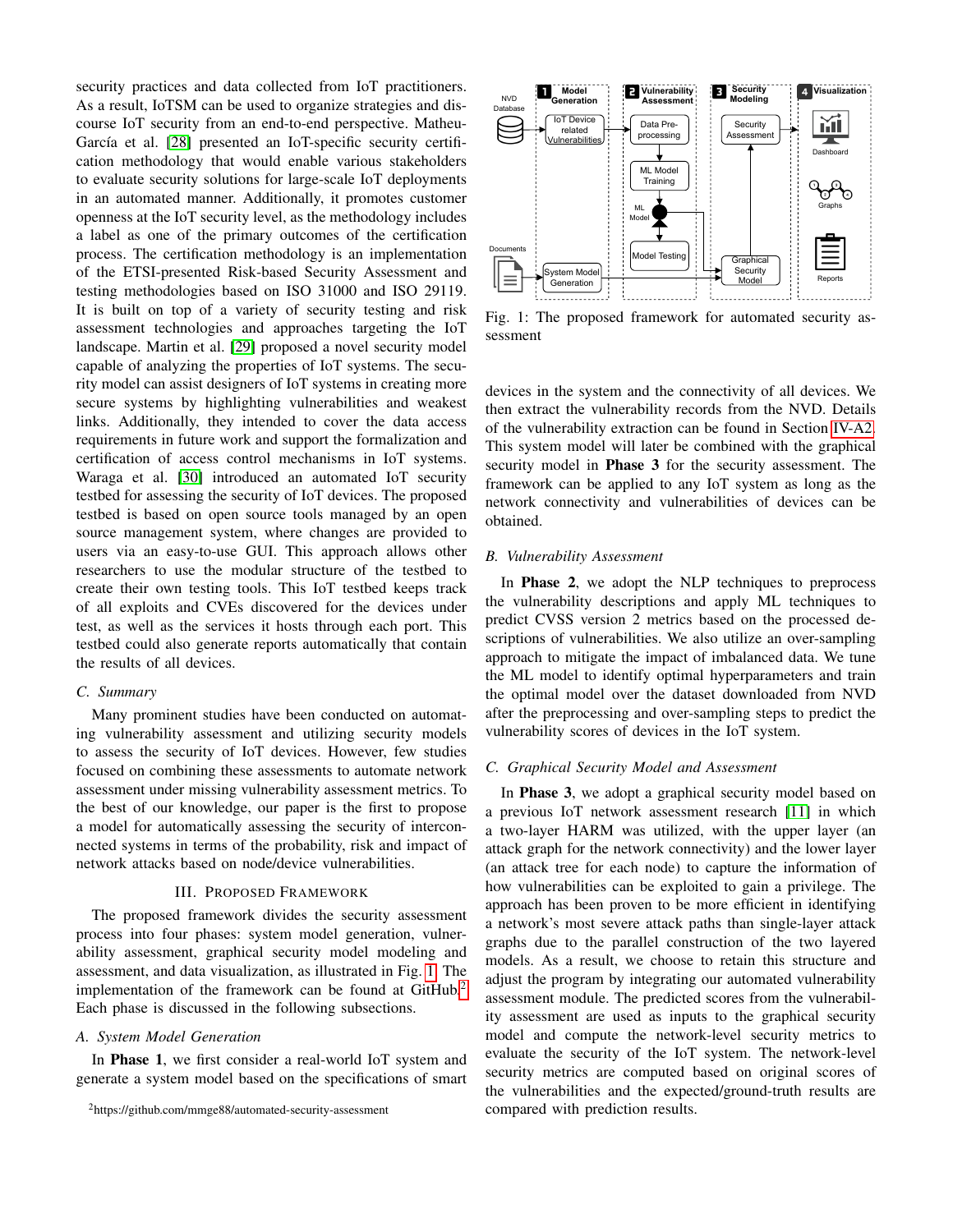security practices and data collected from IoT practitioners. As a result, IoTSM can be used to organize strategies and discourse IoT security from an end-to-end perspective. Matheu-García et al. [\[28\]](#page-9-25) presented an IoT-specific security certification methodology that would enable various stakeholders to evaluate security solutions for large-scale IoT deployments in an automated manner. Additionally, it promotes customer openness at the IoT security level, as the methodology includes a label as one of the primary outcomes of the certification process. The certification methodology is an implementation of the ETSI-presented Risk-based Security Assessment and testing methodologies based on ISO 31000 and ISO 29119. It is built on top of a variety of security testing and risk assessment technologies and approaches targeting the IoT landscape. Martin et al. [\[29\]](#page-9-26) proposed a novel security model capable of analyzing the properties of IoT systems. The security model can assist designers of IoT systems in creating more secure systems by highlighting vulnerabilities and weakest links. Additionally, they intended to cover the data access requirements in future work and support the formalization and certification of access control mechanisms in IoT systems. Waraga et al. [\[30\]](#page-9-27) introduced an automated IoT security testbed for assessing the security of IoT devices. The proposed testbed is based on open source tools managed by an open source management system, where changes are provided to users via an easy-to-use GUI. This approach allows other researchers to use the modular structure of the testbed to create their own testing tools. This IoT testbed keeps track of all exploits and CVEs discovered for the devices under test, as well as the services it hosts through each port. This testbed could also generate reports automatically that contain the results of all devices.

## *C. Summary*

Many prominent studies have been conducted on automating vulnerability assessment and utilizing security models to assess the security of IoT devices. However, few studies focused on combining these assessments to automate network assessment under missing vulnerability assessment metrics. To the best of our knowledge, our paper is the first to propose a model for automatically assessing the security of interconnected systems in terms of the probability, risk and impact of network attacks based on node/device vulnerabilities.

# III. PROPOSED FRAMEWORK

<span id="page-2-0"></span>The proposed framework divides the security assessment process into four phases: system model generation, vulnerability assessment, graphical security model modeling and assessment, and data visualization, as illustrated in Fig. [1.](#page-2-1) The implementation of the framework can be found at GitHub.<sup>[2](#page-2-2)</sup> Each phase is discussed in the following subsections.

#### *A. System Model Generation*

In Phase 1, we first consider a real-world IoT system and generate a system model based on the specifications of smart

<span id="page-2-1"></span>

Fig. 1: The proposed framework for automated security assessment

devices in the system and the connectivity of all devices. We then extract the vulnerability records from the NVD. Details of the vulnerability extraction can be found in Section [IV-A2.](#page-3-1) This system model will later be combined with the graphical security model in **Phase 3** for the security assessment. The framework can be applied to any IoT system as long as the network connectivity and vulnerabilities of devices can be obtained.

#### *B. Vulnerability Assessment*

In Phase 2, we adopt the NLP techniques to preprocess the vulnerability descriptions and apply ML techniques to predict CVSS version 2 metrics based on the processed descriptions of vulnerabilities. We also utilize an over-sampling approach to mitigate the impact of imbalanced data. We tune the ML model to identify optimal hyperparameters and train the optimal model over the dataset downloaded from NVD after the preprocessing and over-sampling steps to predict the vulnerability scores of devices in the IoT system.

## *C. Graphical Security Model and Assessment*

In Phase 3, we adopt a graphical security model based on a previous IoT network assessment research [\[11\]](#page-9-8) in which a two-layer HARM was utilized, with the upper layer (an attack graph for the network connectivity) and the lower layer (an attack tree for each node) to capture the information of how vulnerabilities can be exploited to gain a privilege. The approach has been proven to be more efficient in identifying a network's most severe attack paths than single-layer attack graphs due to the parallel construction of the two layered models. As a result, we choose to retain this structure and adjust the program by integrating our automated vulnerability assessment module. The predicted scores from the vulnerability assessment are used as inputs to the graphical security model and compute the network-level security metrics to evaluate the security of the IoT system. The network-level security metrics are computed based on original scores of the vulnerabilities and the expected/ground-truth results are compared with prediction results.

<span id="page-2-2"></span><sup>2</sup>https://github.com/mmge88/automated-security-assessment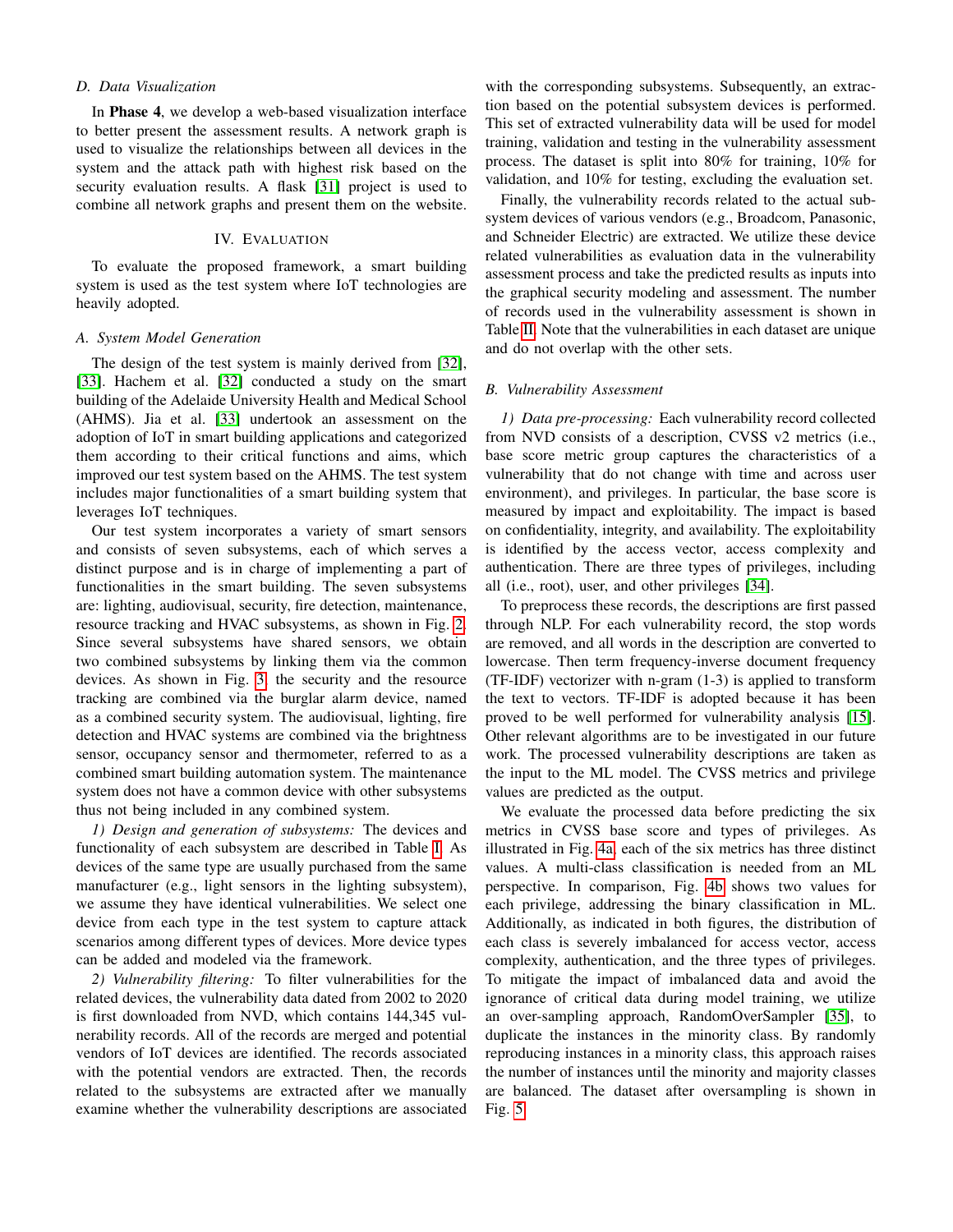# *D. Data Visualization*

In Phase 4, we develop a web-based visualization interface to better present the assessment results. A network graph is used to visualize the relationships between all devices in the system and the attack path with highest risk based on the security evaluation results. A flask [\[31\]](#page-9-28) project is used to combine all network graphs and present them on the website.

# IV. EVALUATION

<span id="page-3-0"></span>To evaluate the proposed framework, a smart building system is used as the test system where IoT technologies are heavily adopted.

# <span id="page-3-2"></span>*A. System Model Generation*

The design of the test system is mainly derived from [\[32\]](#page-9-29), [\[33\]](#page-9-30). Hachem et al. [\[32\]](#page-9-29) conducted a study on the smart building of the Adelaide University Health and Medical School (AHMS). Jia et al. [\[33\]](#page-9-30) undertook an assessment on the adoption of IoT in smart building applications and categorized them according to their critical functions and aims, which improved our test system based on the AHMS. The test system includes major functionalities of a smart building system that leverages IoT techniques.

Our test system incorporates a variety of smart sensors and consists of seven subsystems, each of which serves a distinct purpose and is in charge of implementing a part of functionalities in the smart building. The seven subsystems are: lighting, audiovisual, security, fire detection, maintenance, resource tracking and HVAC subsystems, as shown in Fig. [2.](#page-4-0) Since several subsystems have shared sensors, we obtain two combined subsystems by linking them via the common devices. As shown in Fig. [3,](#page-5-0) the security and the resource tracking are combined via the burglar alarm device, named as a combined security system. The audiovisual, lighting, fire detection and HVAC systems are combined via the brightness sensor, occupancy sensor and thermometer, referred to as a combined smart building automation system. The maintenance system does not have a common device with other subsystems thus not being included in any combined system.

*1) Design and generation of subsystems:* The devices and functionality of each subsystem are described in Table [I.](#page-4-1) As devices of the same type are usually purchased from the same manufacturer (e.g., light sensors in the lighting subsystem), we assume they have identical vulnerabilities. We select one device from each type in the test system to capture attack scenarios among different types of devices. More device types can be added and modeled via the framework.

<span id="page-3-1"></span>*2) Vulnerability filtering:* To filter vulnerabilities for the related devices, the vulnerability data dated from 2002 to 2020 is first downloaded from NVD, which contains 144,345 vulnerability records. All of the records are merged and potential vendors of IoT devices are identified. The records associated with the potential vendors are extracted. Then, the records related to the subsystems are extracted after we manually examine whether the vulnerability descriptions are associated

with the corresponding subsystems. Subsequently, an extraction based on the potential subsystem devices is performed. This set of extracted vulnerability data will be used for model training, validation and testing in the vulnerability assessment process. The dataset is split into 80% for training, 10% for validation, and 10% for testing, excluding the evaluation set.

Finally, the vulnerability records related to the actual subsystem devices of various vendors (e.g., Broadcom, Panasonic, and Schneider Electric) are extracted. We utilize these device related vulnerabilities as evaluation data in the vulnerability assessment process and take the predicted results as inputs into the graphical security modeling and assessment. The number of records used in the vulnerability assessment is shown in Table [II.](#page-4-2) Note that the vulnerabilities in each dataset are unique and do not overlap with the other sets.

## *B. Vulnerability Assessment*

*1) Data pre-processing:* Each vulnerability record collected from NVD consists of a description, CVSS v2 metrics (i.e., base score metric group captures the characteristics of a vulnerability that do not change with time and across user environment), and privileges. In particular, the base score is measured by impact and exploitability. The impact is based on confidentiality, integrity, and availability. The exploitability is identified by the access vector, access complexity and authentication. There are three types of privileges, including all (i.e., root), user, and other privileges [\[34\]](#page-9-31).

To preprocess these records, the descriptions are first passed through NLP. For each vulnerability record, the stop words are removed, and all words in the description are converted to lowercase. Then term frequency-inverse document frequency (TF-IDF) vectorizer with n-gram (1-3) is applied to transform the text to vectors. TF-IDF is adopted because it has been proved to be well performed for vulnerability analysis [\[15\]](#page-9-12). Other relevant algorithms are to be investigated in our future work. The processed vulnerability descriptions are taken as the input to the ML model. The CVSS metrics and privilege values are predicted as the output.

We evaluate the processed data before predicting the six metrics in CVSS base score and types of privileges. As illustrated in Fig. [4a,](#page-5-1) each of the six metrics has three distinct values. A multi-class classification is needed from an ML perspective. In comparison, Fig. [4b](#page-5-1) shows two values for each privilege, addressing the binary classification in ML. Additionally, as indicated in both figures, the distribution of each class is severely imbalanced for access vector, access complexity, authentication, and the three types of privileges. To mitigate the impact of imbalanced data and avoid the ignorance of critical data during model training, we utilize an over-sampling approach, RandomOverSampler [\[35\]](#page-9-32), to duplicate the instances in the minority class. By randomly reproducing instances in a minority class, this approach raises the number of instances until the minority and majority classes are balanced. The dataset after oversampling is shown in Fig. [5.](#page-6-0)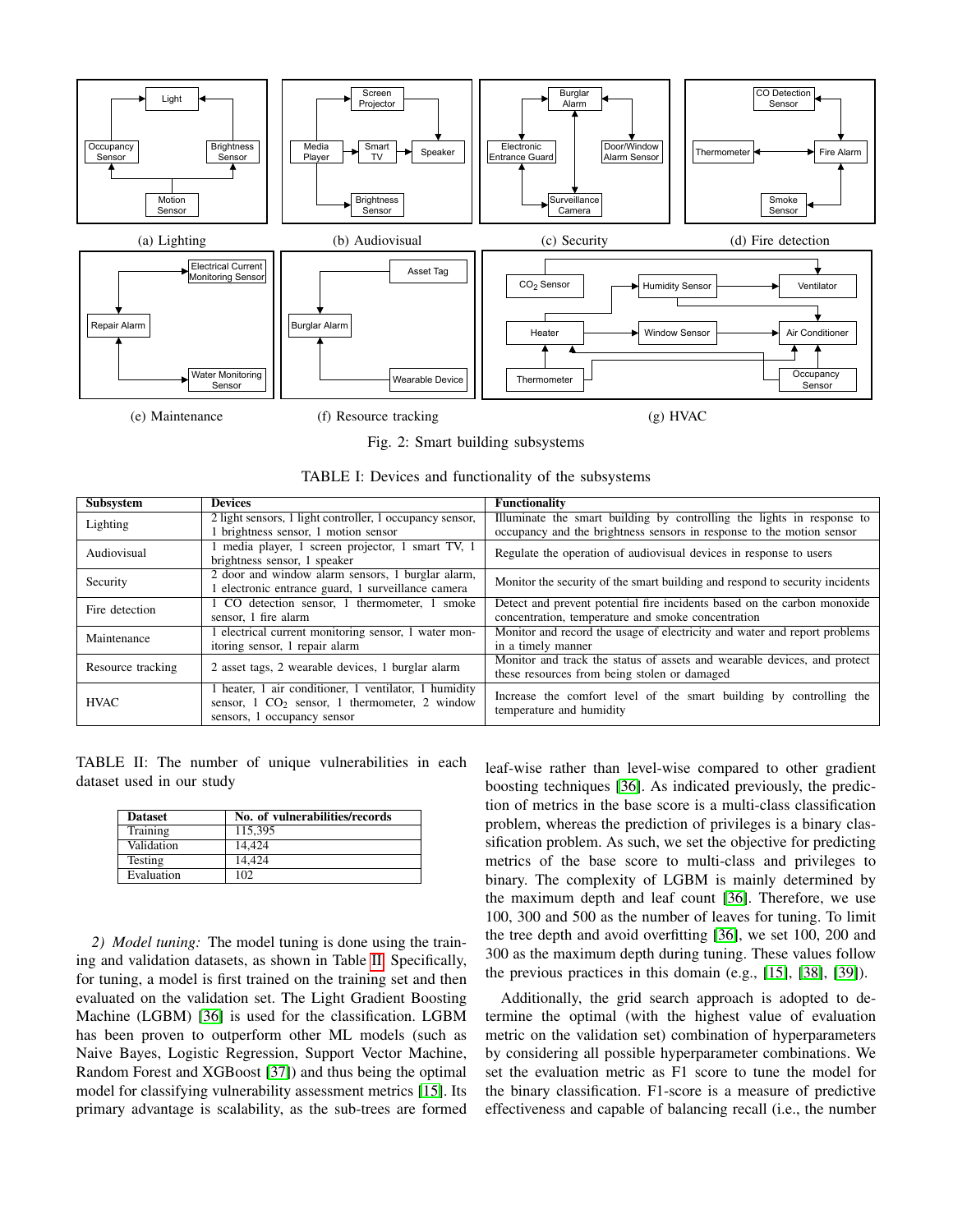<span id="page-4-0"></span>

Fig. 2: Smart building subsystems

<span id="page-4-1"></span>

| Subsystem         | <b>Devices</b>                                           | <b>Functionality</b>                                                         |  |  |
|-------------------|----------------------------------------------------------|------------------------------------------------------------------------------|--|--|
| Lighting          | 2 light sensors, 1 light controller, 1 occupancy sensor, | Illuminate the smart building by controlling the lights in response to       |  |  |
|                   | 1 brightness sensor, 1 motion sensor                     | occupancy and the brightness sensors in response to the motion sensor        |  |  |
| Audiovisual       | 1 media player, 1 screen projector, 1 smart TV, 1        | Regulate the operation of audiovisual devices in response to users           |  |  |
|                   | brightness sensor, 1 speaker                             |                                                                              |  |  |
| Security          | 2 door and window alarm sensors, 1 burglar alarm,        | Monitor the security of the smart building and respond to security incidents |  |  |
|                   | electronic entrance guard, 1 surveillance camera         |                                                                              |  |  |
| Fire detection    | 1 CO detection sensor, 1 thermometer, 1 smoke            | Detect and prevent potential fire incidents based on the carbon monoxide     |  |  |
|                   | sensor, 1 fire alarm                                     | concentration, temperature and smoke concentration                           |  |  |
| Maintenance       | electrical current monitoring sensor, 1 water mon-       | Monitor and record the usage of electricity and water and report problems    |  |  |
|                   | itoring sensor, 1 repair alarm                           | in a timely manner                                                           |  |  |
| Resource tracking | 2 asset tags, 2 wearable devices, 1 burglar alarm        | Monitor and track the status of assets and wearable devices, and protect     |  |  |
|                   |                                                          | these resources from being stolen or damaged                                 |  |  |
|                   | 1 heater, 1 air conditioner, 1 ventilator, 1 humidity    | Increase the comfort level of the smart building by controlling the          |  |  |
| <b>HVAC</b>       | sensor, $1 CO2$ sensor, $1$ thermometer, $2$ window      | temperature and humidity                                                     |  |  |
|                   | sensors, 1 occupancy sensor                              |                                                                              |  |  |

<span id="page-4-2"></span>TABLE II: The number of unique vulnerabilities in each dataset used in our study

| <b>Dataset</b> | No. of vulnerabilities/records |
|----------------|--------------------------------|
| Training       | 115.395                        |
| Validation     | 14.424                         |
| <b>Testing</b> | 14.424                         |
| Evaluation     | 102                            |

*2) Model tuning:* The model tuning is done using the training and validation datasets, as shown in Table [II.](#page-4-2) Specifically, for tuning, a model is first trained on the training set and then evaluated on the validation set. The Light Gradient Boosting Machine (LGBM) [\[36\]](#page-9-33) is used for the classification. LGBM has been proven to outperform other ML models (such as Naive Bayes, Logistic Regression, Support Vector Machine, Random Forest and XGBoost [\[37\]](#page-9-34)) and thus being the optimal model for classifying vulnerability assessment metrics [\[15\]](#page-9-12). Its primary advantage is scalability, as the sub-trees are formed leaf-wise rather than level-wise compared to other gradient boosting techniques [\[36\]](#page-9-33). As indicated previously, the prediction of metrics in the base score is a multi-class classification problem, whereas the prediction of privileges is a binary classification problem. As such, we set the objective for predicting metrics of the base score to multi-class and privileges to binary. The complexity of LGBM is mainly determined by the maximum depth and leaf count [\[36\]](#page-9-33). Therefore, we use 100, 300 and 500 as the number of leaves for tuning. To limit the tree depth and avoid overfitting [\[36\]](#page-9-33), we set 100, 200 and 300 as the maximum depth during tuning. These values follow the previous practices in this domain (e.g., [\[15\]](#page-9-12), [\[38\]](#page-9-35), [\[39\]](#page-9-36)).

Additionally, the grid search approach is adopted to determine the optimal (with the highest value of evaluation metric on the validation set) combination of hyperparameters by considering all possible hyperparameter combinations. We set the evaluation metric as F1 score to tune the model for the binary classification. F1-score is a measure of predictive effectiveness and capable of balancing recall (i.e., the number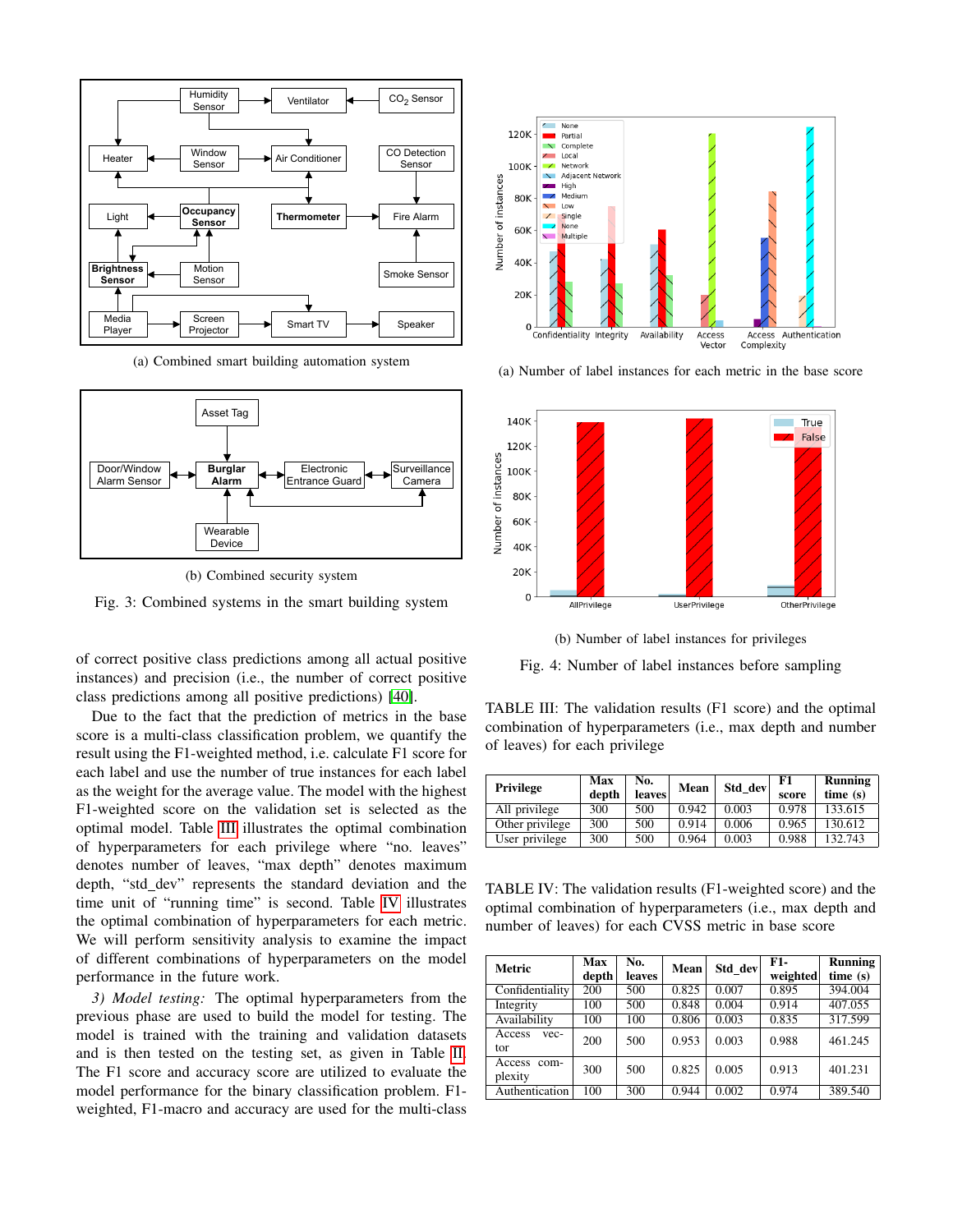<span id="page-5-0"></span>

(a) Combined smart building automation system



(b) Combined security system

Fig. 3: Combined systems in the smart building system

of correct positive class predictions among all actual positive instances) and precision (i.e., the number of correct positive class predictions among all positive predictions) [\[40\]](#page-9-37).

Due to the fact that the prediction of metrics in the base score is a multi-class classification problem, we quantify the result using the F1-weighted method, i.e. calculate F1 score for each label and use the number of true instances for each label as the weight for the average value. The model with the highest F1-weighted score on the validation set is selected as the optimal model. Table [III](#page-5-2) illustrates the optimal combination of hyperparameters for each privilege where "no. leaves" denotes number of leaves, "max depth" denotes maximum depth, "std\_dev" represents the standard deviation and the time unit of "running time" is second. Table [IV](#page-5-3) illustrates the optimal combination of hyperparameters for each metric. We will perform sensitivity analysis to examine the impact of different combinations of hyperparameters on the model performance in the future work.

*3) Model testing:* The optimal hyperparameters from the previous phase are used to build the model for testing. The model is trained with the training and validation datasets and is then tested on the testing set, as given in Table [II.](#page-4-2) The F1 score and accuracy score are utilized to evaluate the model performance for the binary classification problem. F1 weighted, F1-macro and accuracy are used for the multi-class

<span id="page-5-1"></span>

(a) Number of label instances for each metric in the base score



(b) Number of label instances for privileges

Fig. 4: Number of label instances before sampling

<span id="page-5-2"></span>TABLE III: The validation results (F1 score) and the optimal combination of hyperparameters (i.e., max depth and number of leaves) for each privilege

| Privilege       | Max<br>depth | No.<br><b>leaves</b> | Mean  | Std dev | F1<br>score | Running<br>time(s) |
|-----------------|--------------|----------------------|-------|---------|-------------|--------------------|
| All privilege   | 300          | 500                  | 0.942 | 0.003   | 0.978       | 133.615            |
| Other privilege | 300          | 500                  | 0.914 | 0.006   | 0.965       | 130.612            |
| User privilege  | 300          | 500                  | 0.964 | 0.003   | 0.988       | 132.743            |

<span id="page-5-3"></span>TABLE IV: The validation results (F1-weighted score) and the optimal combination of hyperparameters (i.e., max depth and number of leaves) for each CVSS metric in base score

| Metric                 | <b>Max</b> | No.    | Mean  | Std dev | F1-      | Running |
|------------------------|------------|--------|-------|---------|----------|---------|
|                        | depth      | leaves |       |         | weighted | time(s) |
| Confidentiality        | 200        | 500    | 0.825 | 0.007   | 0.895    | 394.004 |
| Integrity              | 100        | 500    | 0.848 | 0.004   | 0.914    | 407.055 |
| Availability           | 100        | 100    | 0.806 | 0.003   | 0.835    | 317.599 |
| Access<br>vec-<br>tor  | 200        | 500    | 0.953 | 0.003   | 0.988    | 461.245 |
| Access com-<br>plexity | 300        | 500    | 0.825 | 0.005   | 0.913    | 401.231 |
| Authentication         | 100        | 300    | 0.944 | 0.002   | 0.974    | 389.540 |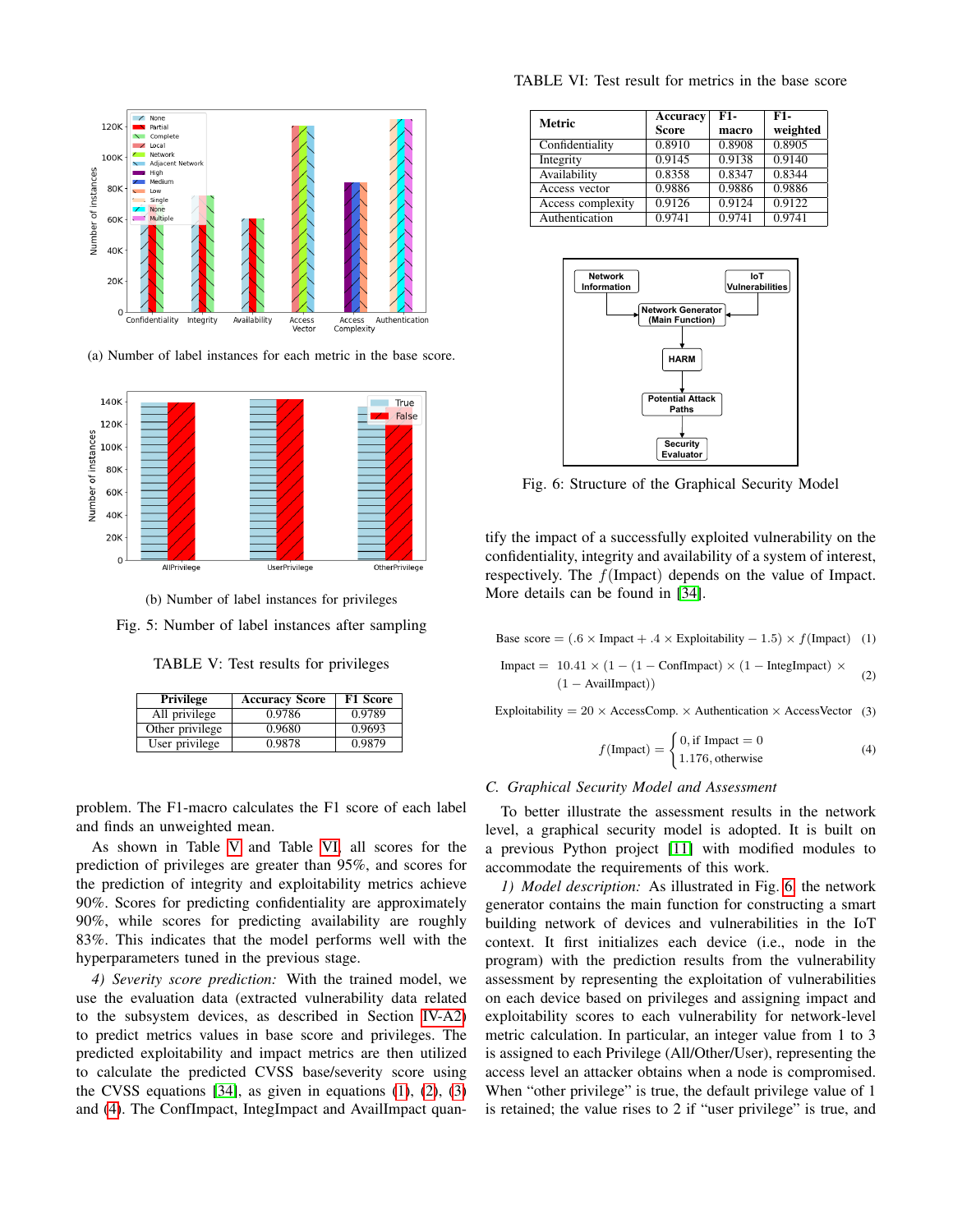<span id="page-6-0"></span>

(a) Number of label instances for each metric in the base score.



(b) Number of label instances for privileges

<span id="page-6-1"></span>Fig. 5: Number of label instances after sampling

TABLE V: Test results for privileges

| Privilege       | <b>Accuracy Score</b> | <b>F1 Score</b> |  |
|-----------------|-----------------------|-----------------|--|
| All privilege   | 0.9786                | 0.9789          |  |
| Other privilege | 0.9680                | 0.9693          |  |
| User privilege  | 0.9878                | 0.9879          |  |

problem. The F1-macro calculates the F1 score of each label and finds an unweighted mean.

As shown in Table [V](#page-6-1) and Table [VI,](#page-6-2) all scores for the prediction of privileges are greater than 95%, and scores for the prediction of integrity and exploitability metrics achieve 90%. Scores for predicting confidentiality are approximately 90%, while scores for predicting availability are roughly 83%. This indicates that the model performs well with the hyperparameters tuned in the previous stage.

*4) Severity score prediction:* With the trained model, we use the evaluation data (extracted vulnerability data related to the subsystem devices, as described in Section [IV-A2\)](#page-3-1) to predict metrics values in base score and privileges. The predicted exploitability and impact metrics are then utilized to calculate the predicted CVSS base/severity score using the CVSS equations  $[34]$ , as given in equations  $(1)$ ,  $(2)$ ,  $(3)$ and [\(4\)](#page-6-6). The ConfImpact, IntegImpact and AvailImpact quan-

<span id="page-6-2"></span>

| Metric            | Accuracy<br><b>Score</b> | F1-<br>macro | F1-<br>weighted |
|-------------------|--------------------------|--------------|-----------------|
| Confidentiality   | 0.8910                   | 0.8908       | 0.8905          |
| Integrity         | 0.9145                   | 0.9138       | 0.9140          |
| Availability      | 0.8358                   | 0.8347       | 0.8344          |
| Access vector     | 0.9886                   | 0.9886       | 0.9886          |
| Access complexity | 0.9126                   | 0.9124       | 0.9122          |
| Authentication    | 0.9741                   | 0.9741       | 0.9741          |

<span id="page-6-7"></span>

Fig. 6: Structure of the Graphical Security Model

tify the impact of a successfully exploited vulnerability on the confidentiality, integrity and availability of a system of interest, respectively. The f(Impact) depends on the value of Impact. More details can be found in [\[34\]](#page-9-31).

<span id="page-6-3"></span>Base score =  $(.6 \times \text{Im} \text{pat} + .4 \times \text{Explot} \cdot \text{ability} - 1.5) \times f(\text{Im} \text{part})$  (1)

<span id="page-6-4"></span>
$$
Image = 10.41 \times (1 - (1 - Conflmpact) \times (1 - IntegImpact) \times (1 - AvailImpact))
$$
\n
$$
(1 - AvailImpact))
$$
\n(2)

<span id="page-6-5"></span>Exploitability =  $20 \times$  AccessComp.  $\times$  Authentication  $\times$  AccessVector (3)

<span id="page-6-6"></span>
$$
f(\text{Impact}) = \begin{cases} 0, \text{if } \text{Impact} = 0\\ 1.176, \text{otherwise} \end{cases}
$$
 (4)

## *C. Graphical Security Model and Assessment*

To better illustrate the assessment results in the network level, a graphical security model is adopted. It is built on a previous Python project [\[11\]](#page-9-8) with modified modules to accommodate the requirements of this work.

*1) Model description:* As illustrated in Fig. [6,](#page-6-7) the network generator contains the main function for constructing a smart building network of devices and vulnerabilities in the IoT context. It first initializes each device (i.e., node in the program) with the prediction results from the vulnerability assessment by representing the exploitation of vulnerabilities on each device based on privileges and assigning impact and exploitability scores to each vulnerability for network-level metric calculation. In particular, an integer value from 1 to 3 is assigned to each Privilege (All/Other/User), representing the access level an attacker obtains when a node is compromised. When "other privilege" is true, the default privilege value of 1 is retained; the value rises to 2 if "user privilege" is true, and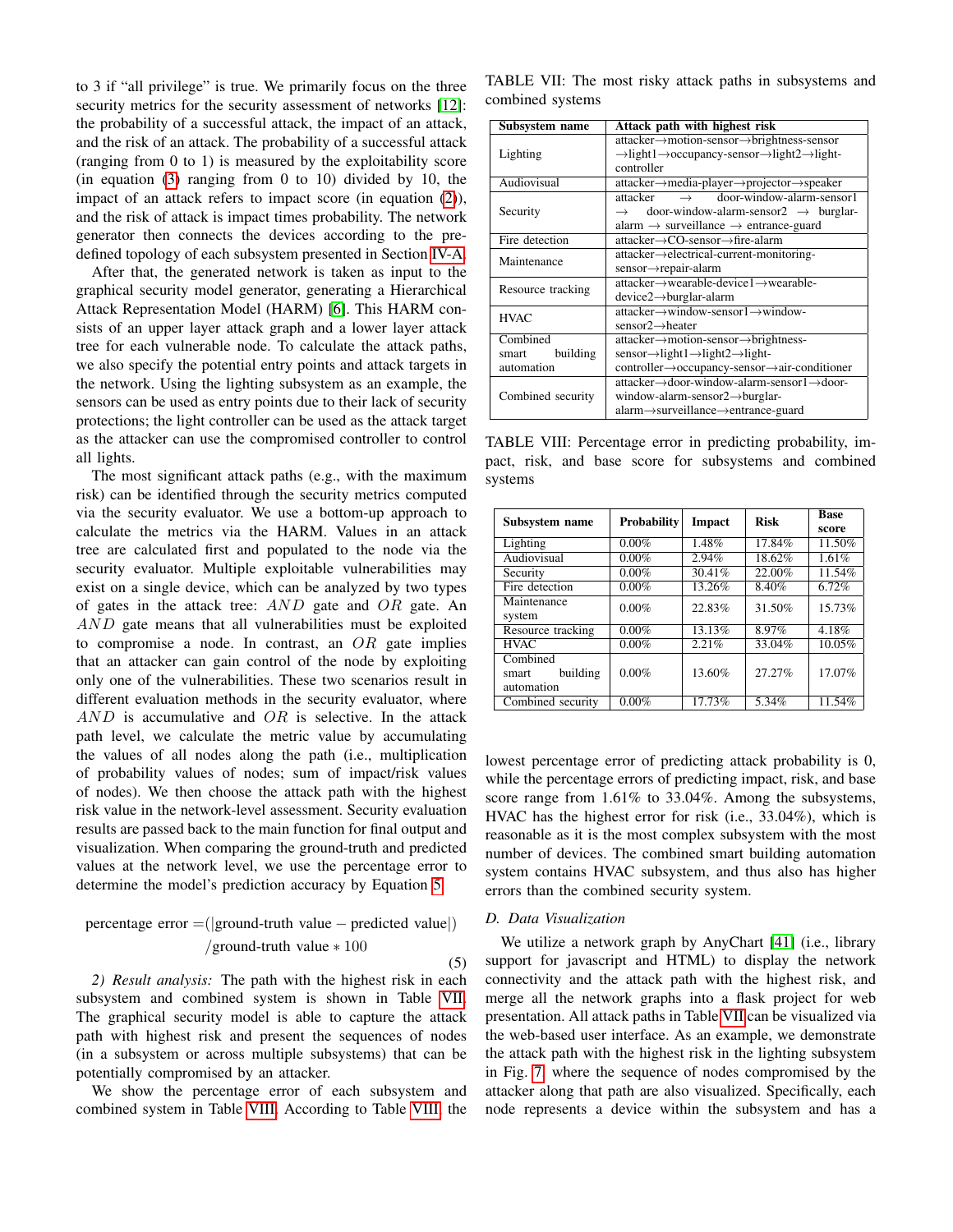to 3 if "all privilege" is true. We primarily focus on the three security metrics for the security assessment of networks [\[12\]](#page-9-9): the probability of a successful attack, the impact of an attack, and the risk of an attack. The probability of a successful attack (ranging from 0 to 1) is measured by the exploitability score (in equation [\(3\)](#page-6-5) ranging from 0 to 10) divided by 10, the impact of an attack refers to impact score (in equation [\(2\)](#page-6-4)), and the risk of attack is impact times probability. The network generator then connects the devices according to the predefined topology of each subsystem presented in Section [IV-A.](#page-3-2)

After that, the generated network is taken as input to the graphical security model generator, generating a Hierarchical Attack Representation Model (HARM) [\[6\]](#page-9-3). This HARM consists of an upper layer attack graph and a lower layer attack tree for each vulnerable node. To calculate the attack paths, we also specify the potential entry points and attack targets in the network. Using the lighting subsystem as an example, the sensors can be used as entry points due to their lack of security protections; the light controller can be used as the attack target as the attacker can use the compromised controller to control all lights.

The most significant attack paths (e.g., with the maximum risk) can be identified through the security metrics computed via the security evaluator. We use a bottom-up approach to calculate the metrics via the HARM. Values in an attack tree are calculated first and populated to the node via the security evaluator. Multiple exploitable vulnerabilities may exist on a single device, which can be analyzed by two types of gates in the attack tree:  $AND$  gate and  $OR$  gate. An AND gate means that all vulnerabilities must be exploited to compromise a node. In contrast, an  $OR$  gate implies that an attacker can gain control of the node by exploiting only one of the vulnerabilities. These two scenarios result in different evaluation methods in the security evaluator, where  $AND$  is accumulative and  $OR$  is selective. In the attack path level, we calculate the metric value by accumulating the values of all nodes along the path (i.e., multiplication of probability values of nodes; sum of impact/risk values of nodes). We then choose the attack path with the highest risk value in the network-level assessment. Security evaluation results are passed back to the main function for final output and visualization. When comparing the ground-truth and predicted values at the network level, we use the percentage error to determine the model's prediction accuracy by Equation [5.](#page-7-0)

<span id="page-7-0"></span>\n
$$
\text{percentage error} = \left( |\text{ground-truth value} - \text{predicted value}| \right)
$$
\n  
\n / \text{ground-truth value} \* 100\n

*2) Result analysis:* The path with the highest risk in each subsystem and combined system is shown in Table [VII.](#page-7-1) The graphical security model is able to capture the attack path with highest risk and present the sequences of nodes (in a subsystem or across multiple subsystems) that can be potentially compromised by an attacker.

We show the percentage error of each subsystem and combined system in Table [VIII.](#page-7-2) According to Table [VIII,](#page-7-2) the

<span id="page-7-1"></span>TABLE VII: The most risky attack paths in subsystems and combined systems

| Subsystem name    | Attack path with highest risk                                                                  |  |  |  |
|-------------------|------------------------------------------------------------------------------------------------|--|--|--|
|                   | attacker→motion-sensor→brightness-sensor                                                       |  |  |  |
| Lighting          | $\rightarrow$ light1 $\rightarrow$ occupancy-sensor $\rightarrow$ light2 $\rightarrow$ light-  |  |  |  |
|                   | controller                                                                                     |  |  |  |
| Audiovisual       | $attacker \rightarrow media\text{-}player \rightarrow projector \rightarrow speaker$           |  |  |  |
|                   | door-window-alarm-sensor1<br>attacker<br>$\rightarrow$                                         |  |  |  |
| Security          | $\rightarrow$ door-window-alarm-sensor2 $\rightarrow$ burglar-                                 |  |  |  |
|                   | alarm $\rightarrow$ surveillance $\rightarrow$ entrance-guard                                  |  |  |  |
| Fire detection    | $attacker \rightarrow CO\text{-}sensor \rightarrow fire\text{-}alarm$                          |  |  |  |
| Maintenance       | attacker-electrical-current-monitoring-                                                        |  |  |  |
|                   | sensor→repair-alarm                                                                            |  |  |  |
| Resource tracking | $attacker \rightarrow wearable\text{-}device1 \rightarrow wearable\text{-}$                    |  |  |  |
|                   | $device2 \rightarrow burglar-alarm$                                                            |  |  |  |
| <b>HVAC</b>       | $attacker \rightarrow window-sensor1 \rightarrow window-sensor1$                               |  |  |  |
|                   | $sensor2 \rightarrow$ heater                                                                   |  |  |  |
| Combined          | $attacker \rightarrow motion-sensor \rightarrow brightness-$                                   |  |  |  |
| building<br>smart | $sensor \rightarrow light1 \rightarrow light2 \rightarrow light$                               |  |  |  |
| automation        | controller→occupancy-sensor→air-conditioner                                                    |  |  |  |
|                   | $attacker \rightarrow door\text{-}window\text{-}alarm\text{-}sensor1 \rightarrow door\text{-}$ |  |  |  |
| Combined security | window-alarm-sensor $2 \rightarrow$ burglar-                                                   |  |  |  |
|                   | $alarm \rightarrow$ surveillance $\rightarrow$ entrance-guard                                  |  |  |  |

<span id="page-7-2"></span>TABLE VIII: Percentage error in predicting probability, impact, risk, and base score for subsystems and combined systems

| Subsystem name    | <b>Probability</b> | Impact | <b>Risk</b> | <b>Base</b><br>score |
|-------------------|--------------------|--------|-------------|----------------------|
| Lighting          | $0.00\%$           | 1.48%  | 17.84%      | 11.50%               |
| Audiovisual       | $0.00\%$           | 2.94%  | 18.62%      | 1.61%                |
| Security          | $0.00\%$           | 30.41% | 22.00%      | 11.54%               |
| Fire detection    | $0.00\%$           | 13.26% | 8.40%       | 6.72%                |
| Maintenance       | $0.00\%$           | 22.83% | 31.50%      | 15.73%               |
| system            |                    |        |             |                      |
| Resource tracking | $0.00\%$           | 13.13% | 8.97%       | 4.18%                |
| <b>HVAC</b>       | $0.00\%$           | 2.21%  | 33.04%      | 10.05%               |
| Combined          |                    |        |             |                      |
| building<br>smart | $0.00\%$           | 13.60% | 27.27%      | 17.07%               |
| automation        |                    |        |             |                      |
| Combined security | $0.00\%$           | 17.73% | 5.34%       | 11.54%               |

lowest percentage error of predicting attack probability is 0, while the percentage errors of predicting impact, risk, and base score range from 1.61% to 33.04%. Among the subsystems, HVAC has the highest error for risk (i.e., 33.04%), which is reasonable as it is the most complex subsystem with the most number of devices. The combined smart building automation system contains HVAC subsystem, and thus also has higher errors than the combined security system.

## *D. Data Visualization*

We utilize a network graph by AnyChart [\[41\]](#page-9-38) (i.e., library support for javascript and HTML) to display the network connectivity and the attack path with the highest risk, and merge all the network graphs into a flask project for web presentation. All attack paths in Table [VII](#page-7-1) can be visualized via the web-based user interface. As an example, we demonstrate the attack path with the highest risk in the lighting subsystem in Fig. [7,](#page-8-4) where the sequence of nodes compromised by the attacker along that path are also visualized. Specifically, each node represents a device within the subsystem and has a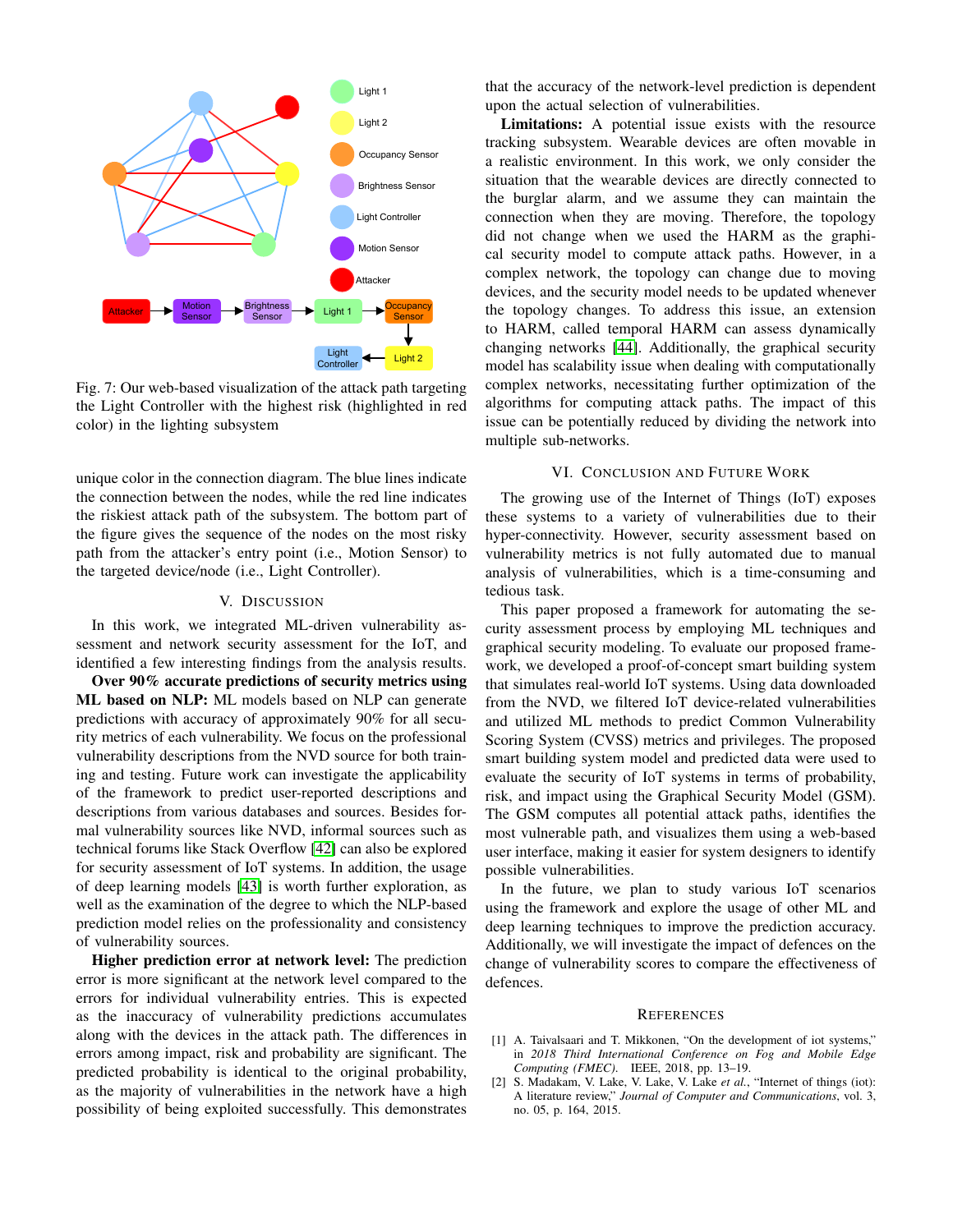<span id="page-8-4"></span>

Fig. 7: Our web-based visualization of the attack path targeting the Light Controller with the highest risk (highlighted in red color) in the lighting subsystem

unique color in the connection diagram. The blue lines indicate the connection between the nodes, while the red line indicates the riskiest attack path of the subsystem. The bottom part of the figure gives the sequence of the nodes on the most risky path from the attacker's entry point (i.e., Motion Sensor) to the targeted device/node (i.e., Light Controller).

## V. DISCUSSION

<span id="page-8-2"></span>In this work, we integrated ML-driven vulnerability assessment and network security assessment for the IoT, and identified a few interesting findings from the analysis results.

Over 90% accurate predictions of security metrics using ML based on NLP: ML models based on NLP can generate predictions with accuracy of approximately 90% for all security metrics of each vulnerability. We focus on the professional vulnerability descriptions from the NVD source for both training and testing. Future work can investigate the applicability of the framework to predict user-reported descriptions and descriptions from various databases and sources. Besides formal vulnerability sources like NVD, informal sources such as technical forums like Stack Overflow [\[42\]](#page-9-39) can also be explored for security assessment of IoT systems. In addition, the usage of deep learning models [\[43\]](#page-9-40) is worth further exploration, as well as the examination of the degree to which the NLP-based prediction model relies on the professionality and consistency of vulnerability sources.

Higher prediction error at network level: The prediction error is more significant at the network level compared to the errors for individual vulnerability entries. This is expected as the inaccuracy of vulnerability predictions accumulates along with the devices in the attack path. The differences in errors among impact, risk and probability are significant. The predicted probability is identical to the original probability, as the majority of vulnerabilities in the network have a high possibility of being exploited successfully. This demonstrates that the accuracy of the network-level prediction is dependent upon the actual selection of vulnerabilities.

Limitations: A potential issue exists with the resource tracking subsystem. Wearable devices are often movable in a realistic environment. In this work, we only consider the situation that the wearable devices are directly connected to the burglar alarm, and we assume they can maintain the connection when they are moving. Therefore, the topology did not change when we used the HARM as the graphical security model to compute attack paths. However, in a complex network, the topology can change due to moving devices, and the security model needs to be updated whenever the topology changes. To address this issue, an extension to HARM, called temporal HARM can assess dynamically changing networks [\[44\]](#page-9-41). Additionally, the graphical security model has scalability issue when dealing with computationally complex networks, necessitating further optimization of the algorithms for computing attack paths. The impact of this issue can be potentially reduced by dividing the network into multiple sub-networks.

# VI. CONCLUSION AND FUTURE WORK

<span id="page-8-3"></span>The growing use of the Internet of Things (IoT) exposes these systems to a variety of vulnerabilities due to their hyper-connectivity. However, security assessment based on vulnerability metrics is not fully automated due to manual analysis of vulnerabilities, which is a time-consuming and tedious task.

This paper proposed a framework for automating the security assessment process by employing ML techniques and graphical security modeling. To evaluate our proposed framework, we developed a proof-of-concept smart building system that simulates real-world IoT systems. Using data downloaded from the NVD, we filtered IoT device-related vulnerabilities and utilized ML methods to predict Common Vulnerability Scoring System (CVSS) metrics and privileges. The proposed smart building system model and predicted data were used to evaluate the security of IoT systems in terms of probability, risk, and impact using the Graphical Security Model (GSM). The GSM computes all potential attack paths, identifies the most vulnerable path, and visualizes them using a web-based user interface, making it easier for system designers to identify possible vulnerabilities.

In the future, we plan to study various IoT scenarios using the framework and explore the usage of other ML and deep learning techniques to improve the prediction accuracy. Additionally, we will investigate the impact of defences on the change of vulnerability scores to compare the effectiveness of defences.

#### **REFERENCES**

- <span id="page-8-0"></span>[1] A. Taivalsaari and T. Mikkonen, "On the development of iot systems," in *2018 Third International Conference on Fog and Mobile Edge Computing (FMEC)*. IEEE, 2018, pp. 13–19.
- <span id="page-8-1"></span>[2] S. Madakam, V. Lake, V. Lake, V. Lake *et al.*, "Internet of things (iot): A literature review," *Journal of Computer and Communications*, vol. 3, no. 05, p. 164, 2015.